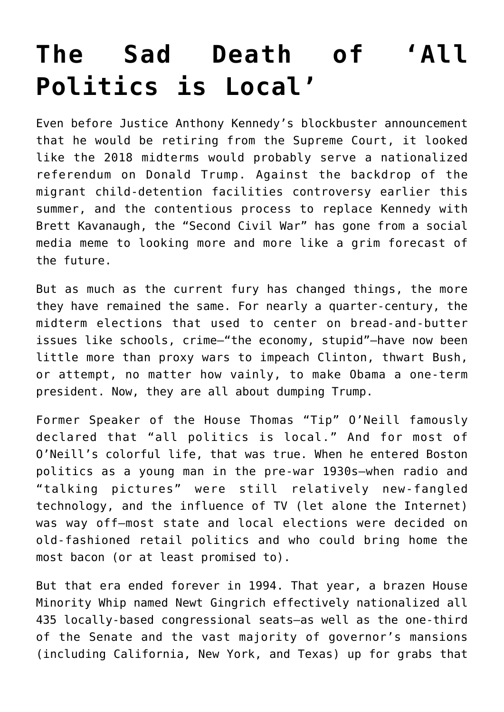## **[The Sad Death of 'All](https://intellectualtakeout.org/2018/11/the-sad-death-of-all-politics-is-local/) [Politics is Local'](https://intellectualtakeout.org/2018/11/the-sad-death-of-all-politics-is-local/)**

Even before Justice Anthony Kennedy's blockbuster announcement that he would be retiring from the Supreme Court, it looked like the 2018 midterms would probably serve a nationalized referendum on Donald Trump. Against the backdrop of the migrant child-detention facilities controversy earlier this summer, and the contentious process to replace Kennedy with Brett Kavanaugh, the "Second Civil War" has gone from a social media meme to looking more and more like a grim forecast of the future.

But as much as the current fury has changed things, the more they have remained the same. For nearly a quarter-century, the midterm elections that used to center on bread-and-butter issues like schools, crime—"the economy, stupid"—have now been little more than proxy wars to impeach Clinton, thwart Bush, or attempt, no matter how vainly, to make Obama a one-term president. Now, they are all about dumping Trump.

Former Speaker of the House Thomas "Tip" O'Neill famously declared that "all politics is local." And for most of O'Neill's colorful life, that was true. When he entered Boston politics as a young man in the pre-war 1930s—when radio and "talking pictures" were still relatively new-fangled technology, and the influence of TV (let alone the Internet) was way off—most state and local elections were decided on old-fashioned retail politics and who could bring home the most bacon (or at least promised to).

But that era ended forever in 1994. That year, a brazen House Minority Whip named Newt Gingrich effectively nationalized all 435 locally-based congressional seats—as well as the one-third of the Senate and the vast majority of governor's mansions (including California, New York, and Texas) up for grabs that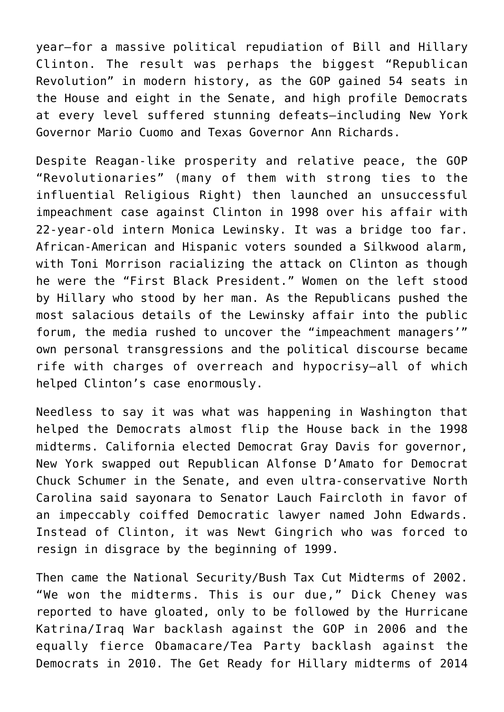year—for a massive political repudiation of Bill and Hillary Clinton. The result was perhaps the biggest "Republican Revolution" in modern history, as the GOP gained 54 seats in the House and eight in the Senate, and high profile Democrats at every level suffered stunning defeats—including New York Governor Mario Cuomo and Texas Governor Ann Richards.

Despite Reagan-like prosperity and relative peace, the GOP "Revolutionaries" (many of them with strong ties to the influential Religious Right) then launched an unsuccessful impeachment case against Clinton in 1998 over his affair with 22-year-old intern Monica Lewinsky. It was a bridge too far. African-American and Hispanic voters sounded a Silkwood alarm, with Toni Morrison racializing the attack on Clinton as though he were the "First Black President." Women on the left stood by Hillary who stood by her man. As the Republicans pushed the most salacious details of the Lewinsky affair into the public forum, the media rushed to uncover the "impeachment managers'" own personal transgressions and the political discourse became rife with charges of overreach and hypocrisy—all of which helped Clinton's case enormously.

Needless to say it was what was happening in Washington that helped the Democrats almost flip the House back in the 1998 midterms. California elected Democrat Gray Davis for governor, New York swapped out Republican Alfonse D'Amato for Democrat Chuck Schumer in the Senate, and even ultra-conservative North Carolina said sayonara to Senator Lauch Faircloth in favor of an impeccably coiffed Democratic lawyer named John Edwards. Instead of Clinton, it was Newt Gingrich who was forced to resign in disgrace by the beginning of 1999.

Then came the National Security/Bush Tax Cut Midterms of 2002. "We won the midterms. This is our due," Dick Cheney was reported to have gloated, only to be followed by the Hurricane Katrina/Iraq War backlash against the GOP in 2006 and the equally fierce Obamacare/Tea Party backlash against the Democrats in 2010. The Get Ready for Hillary midterms of 2014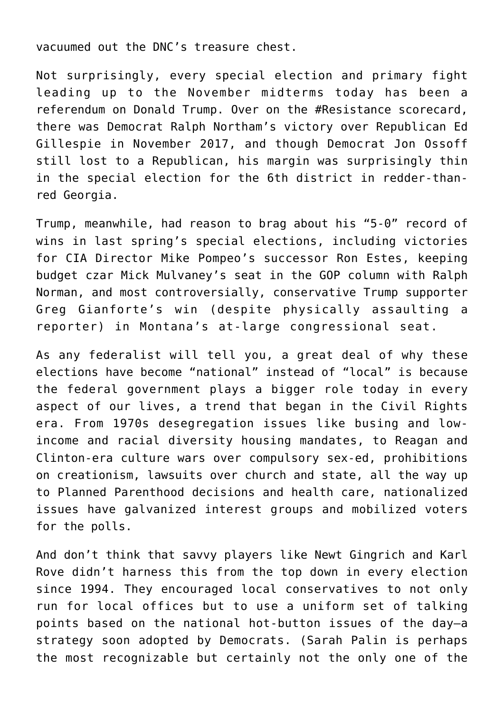vacuumed out the DNC's treasure chest.

Not surprisingly, every special election and primary fight leading up to the November midterms today has been a referendum on Donald Trump. Over on the #Resistance scorecard, there was Democrat Ralph Northam's victory over Republican Ed Gillespie in November 2017, and though Democrat Jon Ossoff still lost to a Republican, his margin was surprisingly thin in the special election for the 6th district in redder-thanred Georgia.

Trump, meanwhile, had reason to brag about his "5-0" record of wins in last spring's special elections, including victories for CIA Director Mike Pompeo's successor Ron Estes, keeping budget czar Mick Mulvaney's seat in the GOP column with Ralph Norman, and most controversially, conservative Trump supporter Greg Gianforte's win (despite physically assaulting a reporter) in Montana's at-large congressional seat.

As any federalist will tell you, a great deal of why these elections have become "national" instead of "local" is because the federal government plays a bigger role today in every aspect of our lives, a trend that began in the Civil Rights era. From 1970s desegregation issues like busing and lowincome and racial diversity housing mandates, to Reagan and Clinton-era culture wars over compulsory sex-ed, prohibitions on creationism, lawsuits over church and state, all the way up to Planned Parenthood decisions and health care, nationalized issues have galvanized interest groups and mobilized voters for the polls.

And don't think that savvy players like Newt Gingrich and Karl Rove didn't harness this from the top down in every election since 1994. They encouraged local conservatives to not only run for local offices but to use a uniform set of talking points based on the national hot-button issues of the day—a strategy soon adopted by Democrats. (Sarah Palin is perhaps the most recognizable but certainly not the only one of the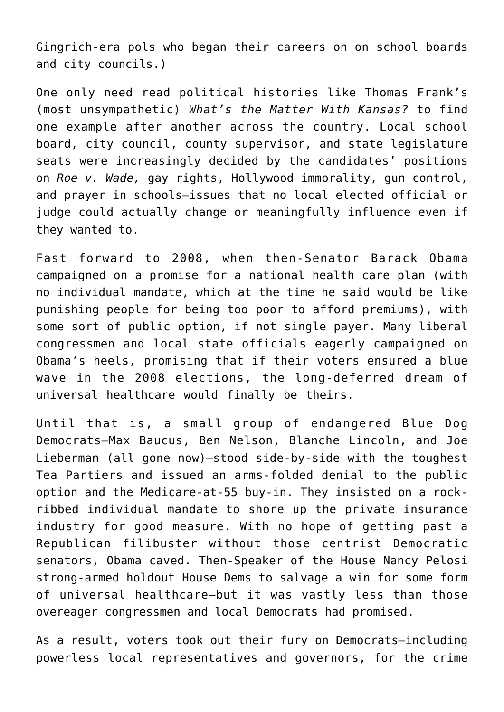Gingrich-era pols who began their careers on on school boards and city councils.)

One only need read political histories like Thomas Frank's (most unsympathetic) *What's the Matter With Kansas?* to find one example after another across the country. Local school board, city council, county supervisor, and state legislature seats were increasingly decided by the candidates' positions on *Roe v. Wade,* gay rights, Hollywood immorality, gun control, and prayer in schools—issues that no local elected official or judge could actually change or meaningfully influence even if they wanted to.

Fast forward to 2008, when then-Senator Barack Obama campaigned on a promise for a national health care plan (with no individual mandate, which at the time he said would be like punishing people for being too poor to afford premiums), with some sort of public option, if not single payer. Many liberal congressmen and local state officials eagerly campaigned on Obama's heels, promising that if their voters ensured a blue wave in the 2008 elections, the long-deferred dream of universal healthcare would finally be theirs.

Until that is, a small group of endangered Blue Dog Democrats—Max Baucus, Ben Nelson, Blanche Lincoln, and Joe Lieberman (all gone now)—stood side-by-side with the toughest Tea Partiers and issued an arms-folded denial to the public option and the Medicare-at-55 buy-in. They insisted on a rockribbed individual mandate to shore up the private insurance industry for good measure. With no hope of getting past a Republican filibuster without those centrist Democratic senators, Obama caved. Then-Speaker of the House Nancy Pelosi strong-armed holdout House Dems to salvage a win for some form of universal healthcare—but it was vastly less than those overeager congressmen and local Democrats had promised.

As a result, voters took out their fury on Democrats—including powerless local representatives and governors, for the crime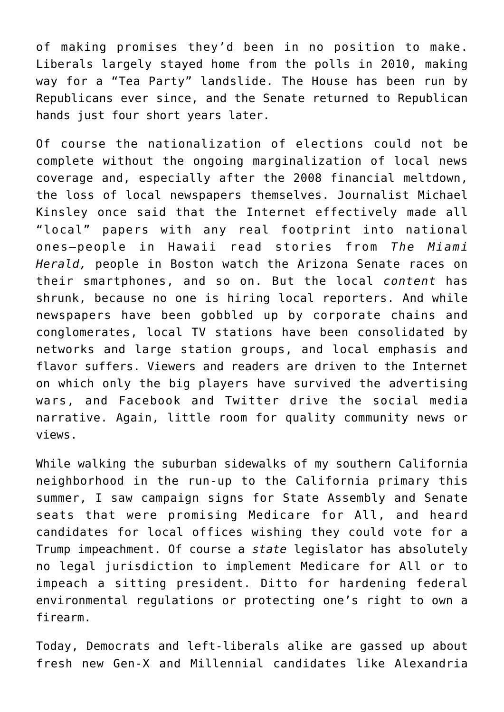of making promises they'd been in no position to make. Liberals largely stayed home from the polls in 2010, making way for a "Tea Party" landslide. The House has been run by Republicans ever since, and the Senate returned to Republican hands just four short years later.

Of course the nationalization of elections could not be complete without the ongoing marginalization of local news coverage and, especially after the 2008 financial meltdown, the loss of local newspapers themselves. Journalist Michael Kinsley once said that the Internet effectively made all "local" papers with any real footprint into national ones—people in Hawaii read stories from *The Miami Herald,* people in Boston watch the Arizona Senate races on their smartphones, and so on. But the local *content* has shrunk, because no one is hiring local reporters. And while newspapers have been gobbled up by corporate chains and conglomerates, local TV stations have been consolidated by networks and large station groups, and local emphasis and flavor suffers. Viewers and readers are driven to the Internet on which only the big players have survived the advertising wars, and Facebook and Twitter drive the social media narrative. Again, little room for quality community news or views.

While walking the suburban sidewalks of my southern California neighborhood in the run-up to the California primary this summer, I saw campaign signs for State Assembly and Senate seats that were promising Medicare for All, and heard candidates for local offices wishing they could vote for a Trump impeachment. Of course a *state* legislator has absolutely no legal jurisdiction to implement Medicare for All or to impeach a sitting president. Ditto for hardening federal environmental regulations or protecting one's right to own a firearm.

Today, Democrats and left-liberals alike are gassed up about fresh new Gen-X and Millennial candidates like Alexandria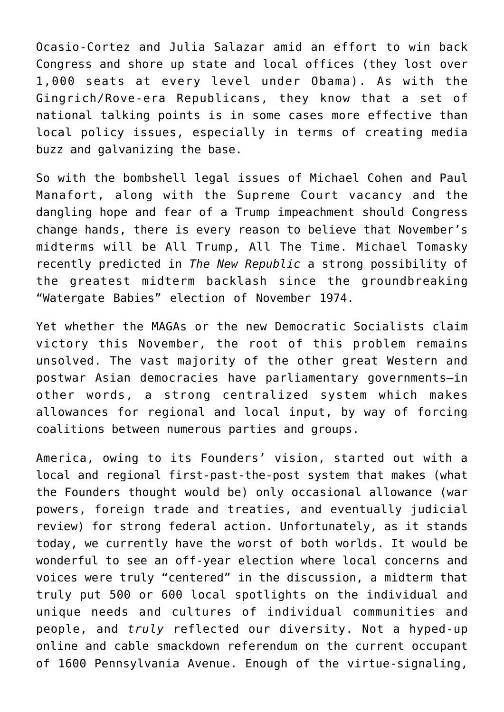Ocasio-Cortez and Julia Salazar amid an effort to win back Congress and shore up state and local offices (they lost over 1,000 seats at every level under Obama). As with the Gingrich/Rove-era Republicans, they know that a set of national talking points is in some cases more effective than local policy issues, especially in terms of creating media buzz and galvanizing the base.

So with the bombshell legal issues of Michael Cohen and Paul Manafort, along with the Supreme Court vacancy and the dangling hope and fear of a Trump impeachment should Congress change hands, there is every reason to believe that November's midterms will be All Trump, All The Time. Michael Tomasky recently predicted in *The New Republic* a strong possibility of the greatest midterm backlash since the groundbreaking "Watergate Babies" election of November 1974.

Yet whether the MAGAs or the new Democratic Socialists claim victory this November, the root of this problem remains unsolved. The vast majority of the other great Western and postwar Asian democracies have parliamentary governments—in other words, a strong centralized system which makes allowances for regional and local input, by way of forcing coalitions between numerous parties and groups.

America, owing to its Founders' vision, started out with a local and regional first-past-the-post system that makes (what the Founders thought would be) only occasional allowance (war powers, foreign trade and treaties, and eventually judicial review) for strong federal action. Unfortunately, as it stands today, we currently have the worst of both worlds. It would be wonderful to see an off-year election where local concerns and voices were truly "centered" in the discussion, a midterm that truly put 500 or 600 local spotlights on the individual and unique needs and cultures of individual communities and people, and *truly* reflected our diversity. Not a hyped-up online and cable smackdown referendum on the current occupant of 1600 Pennsylvania Avenue. Enough of the virtue-signaling,